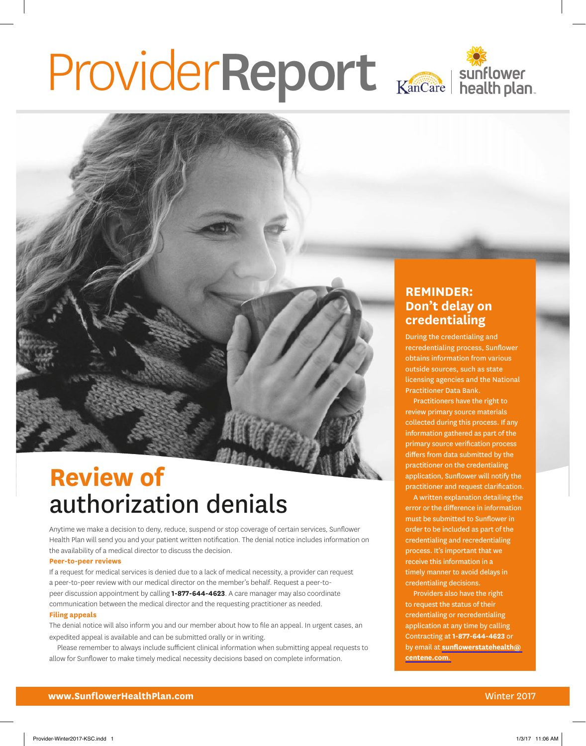# ProviderReport Kancare | sunflower



# **Review of** authorization denials

Anytime we make a decision to deny, reduce, suspend or stop coverage of certain services, Sunflower Health Plan will send you and your patient written notification. The denial notice includes information on the availability of a medical director to discuss the decision.

#### **Peer-to-peer reviews**

If a request for medical services is denied due to a lack of medical necessity, a provider can request a peer-to-peer review with our medical director on the member's behalf. Request a peer-topeer discussion appointment by calling **1-877-644-4623**. A care manager may also coordinate communication between the medical director and the requesting practitioner as needed.

#### **Filing appeals**

The denial notice will also inform you and our member about how to file an appeal. In urgent cases, an expedited appeal is available and can be submitted orally or in writing.

Please remember to always include sufficient clinical information when submitting appeal requests to allow for Sunflower to make timely medical necessity decisions based on complete information.

### **REMINDER: Don't delay on credentialing**

During the credentialing and recredentialing process, Sunflower obtains information from various outside sources, such as state licensing agencies and the National Practitioner Data Bank.

Practitioners have the right to review primary source materials collected during this process. If any information gathered as part of the primary source verification process differs from data submitted by the practitioner on the credentialing application, Sunflower will notify the practitioner and request clarification.

A written explanation detailing the error or the difference in information must be submitted to Sunflower in order to be included as part of the credentialing and recredentialing process. It's important that we receive this information in a timely manner to avoid delays in credentialing decisions.

Providers also have the right to request the status of their credentialing or recredentialing application at any time by calling Contracting at **1-877-644-4623** or by email at **[sunflowerstatehealth@](mailto:sunflowerstatehealth@centene.com) [centene.com](mailto:sunflowerstatehealth@centene.com)**.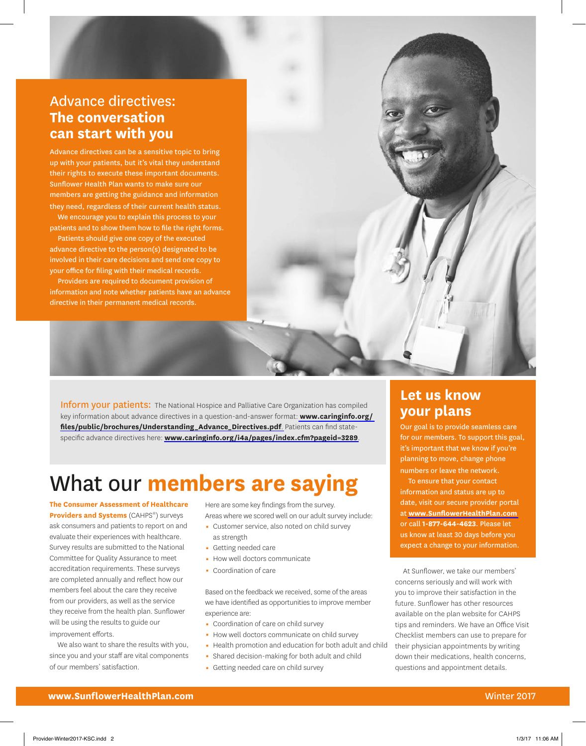## Advance directives: **The conversation can start with you**

Advance directives can be a sensitive topic to bring up with your patients, but it's vital they understand their rights to execute these important documents. Sunflower Health Plan wants to make sure our members are getting the guidance and information they need, regardless of their current health status. We encourage you to explain this process to your patients and to show them how to file the right forms.

Patients should give one copy of the executed advance directive to the person(s) designated to be involved in their care decisions and send one copy to your office for filing with their medical records.

Providers are required to document provision of information and note whether patients have an advance directive in their permanent medical records.

**Inform your patients:** The National Hospice and Palliative Care Organization has compiled key information about advance directives in a question-and-answer format: **[www.caringinfo.org/](http://www.caringinfo.org/files/public/brochures/Understanding_Advance_Directives.pdf) [files/public/brochures/Understanding\\_Advance\\_Directives.pdf](http://www.caringinfo.org/files/public/brochures/Understanding_Advance_Directives.pdf)**. Patients can find statespecific advance directives here: **[www.caringinfo.org/i4a/pages/index.cfm?pageid=3289](http://www.caringinfo.org/i4a/pages/index.cfm?pageid=3289)**.

# What our **members are saying**

**The Consumer Assessment of Healthcare Providers and Systems** (CAHPS®) surveys ask consumers and patients to report on and evaluate their experiences with healthcare. Survey results are submitted to the National Committee for Quality Assurance to meet accreditation requirements. These surveys are completed annually and reflect how our members feel about the care they receive from our providers, as well as the service they receive from the health plan. Sunflower will be using the results to guide our improvement efforts.

We also want to share the results with you, since you and your staff are vital components of our members' satisfaction.

Here are some key findings from the survey. Areas where we scored well on our adult survey include:

- 0 Customer service, also noted on child survey as strength
- **Getting needed care**
- How well doctors communicate
- **Coordination of care**

Based on the feedback we received, some of the areas we have identified as opportunities to improve member experience are:

- Coordination of care on child survey
- How well doctors communicate on child survey
- Health promotion and education for both adult and child
- 0 Shared decision-making for both adult and child
	- 0 Getting needed care on child survey

## **Let us know your plans**

Our goal is to provide seamless care for our members. To support this goal, it's important that we know if you're planning to move, change phone numbers or leave the network.

To ensure that your contact information and status are up to date, visit our secure provider portal at **[www.SunflowerHealthPlan.com](http://www.sunflowerhealthplan.com)** or call **1-877-644-4623**. Please let us know at least 30 days before you expect a change to your information.

At Sunflower, we take our members' concerns seriously and will work with you to improve their satisfaction in the future. Sunflower has other resources available on the plan website for CAHPS tips and reminders. We have an Office Visit Checklist members can use to prepare for their physician appointments by writing down their medications, health concerns, questions and appointment details.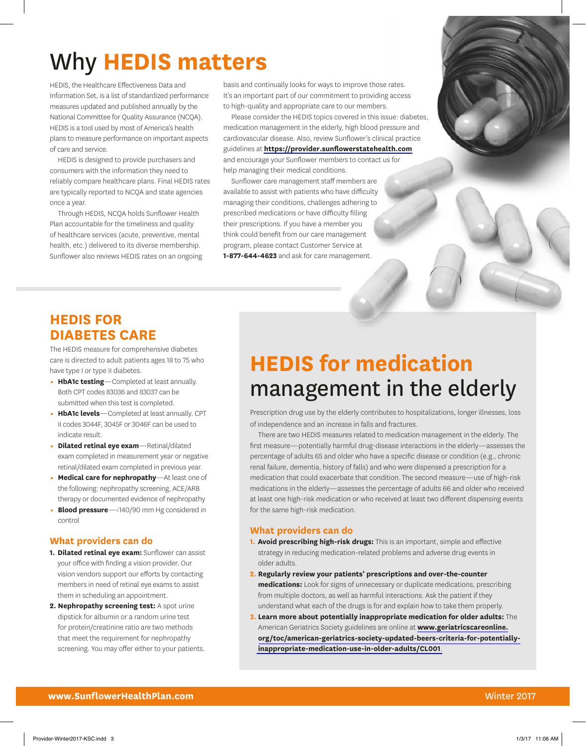# Why **HEDIS matters**

HEDIS, the Healthcare Effectiveness Data and Information Set, is a list of standardized performance measures updated and published annually by the National Committee for Quality Assurance (NCQA). HEDIS is a tool used by most of America's health plans to measure performance on important aspects of care and service.

HEDIS is designed to provide purchasers and consumers with the information they need to reliably compare healthcare plans. Final HEDIS rates are typically reported to NCQA and state agencies once a year.

Through HEDIS, NCQA holds Sunflower Health Plan accountable for the timeliness and quality of healthcare services (acute, preventive, mental health, etc.) delivered to its diverse membership. Sunflower also reviews HEDIS rates on an ongoing basis and continually looks for ways to improve those rates. It's an important part of our commitment to providing access to high-quality and appropriate care to our members.

Please consider the HEDIS topics covered in this issue: diabetes, medication management in the elderly, high blood pressure and cardiovascular disease. Also, review Sunflower's clinical practice guidelines at **<https://provider.sunflowerstatehealth.com>** and encourage your Sunflower members to contact us for help managing their medical conditions.

Sunflower care management staff members are available to assist with patients who have difficulty managing their conditions, challenges adhering to prescribed medications or have difficulty filling their prescriptions. If you have a member you think could benefit from our care management program, please contact Customer Service at **1-877-644-4623** and ask for care management.

## **HEDIS FOR DIABETES CARE**

The HEDIS measure for comprehensive diabetes care is directed to adult patients ages 18 to 75 who have type I or type II diabetes.

- **HbA1c testing**—Completed at least annually. Both CPT codes 83036 and 83037 can be submitted when this test is completed.
- 0 **HbA1c levels**—Completed at least annually. CPT II codes 3044F, 3045F or 3046F can be used to indicate result.
- **· Dilated retinal eye exam**—Retinal/dilated exam completed in measurement year or negative retinal/dilated exam completed in previous year.
- 0 **Medical care for nephropathy**—At least one of the following: nephropathy screening, ACE/ARB therapy or documented evidence of nephropathy
- 0 **Blood pressure**—<140/90 mm Hg considered in control

#### **What providers can do**

- **1. Dilated retinal eye exam:** Sunflower can assist your office with finding a vision provider. Our vision vendors support our efforts by contacting members in need of retinal eye exams to assist them in scheduling an appointment.
- **2. Nephropathy screening test:** A spot urine dipstick for albumin or a random urine test for protein/creatinine ratio are two methods that meet the requirement for nephropathy screening. You may offer either to your patients.

# **HEDIS for medication** management in the elderly

Prescription drug use by the elderly contributes to hospitalizations, longer illnesses, loss of independence and an increase in falls and fractures.

There are two HEDIS measures related to medication management in the elderly. The first measure—potentially harmful drug-disease interactions in the elderly—assesses the percentage of adults 65 and older who have a specific disease or condition (e.g., chronic renal failure, dementia, history of falls) and who were dispensed a prescription for a medication that could exacerbate that condition. The second measure—use of high-risk medications in the elderly—assesses the percentage of adults 66 and older who received at least one high-risk medication or who received at least two different dispensing events for the same high-risk medication.

#### **What providers can do**

- **1. Avoid prescribing high-risk drugs:** This is an important, simple and effective strategy in reducing medication-related problems and adverse drug events in older adults.
- **2. Regularly review your patients' prescriptions and over-the-counter medications:** Look for signs of unnecessary or duplicate medications, prescribing from multiple doctors, as well as harmful interactions. Ask the patient if they understand what each of the drugs is for and explain how to take them properly.
- **3. Learn more about potentially inappropriate medication for older adults:** The American Geriatrics Society guidelines are online at **[www.geriatricscareonline.](http://www.geriatricscareonline.org/toc/american-geriatrics-society-updated-beers-criteria-for-potentially-inappropriate-medication-use-in-older-adults/CL001) [org/toc/american-geriatrics-society-updated-beers-criteria-for-potentially](http://www.geriatricscareonline.org/toc/american-geriatrics-society-updated-beers-criteria-for-potentially-inappropriate-medication-use-in-older-adults/CL001)[inappropriate-medication-use-in-older-adults/CL001](http://www.geriatricscareonline.org/toc/american-geriatrics-society-updated-beers-criteria-for-potentially-inappropriate-medication-use-in-older-adults/CL001)**.